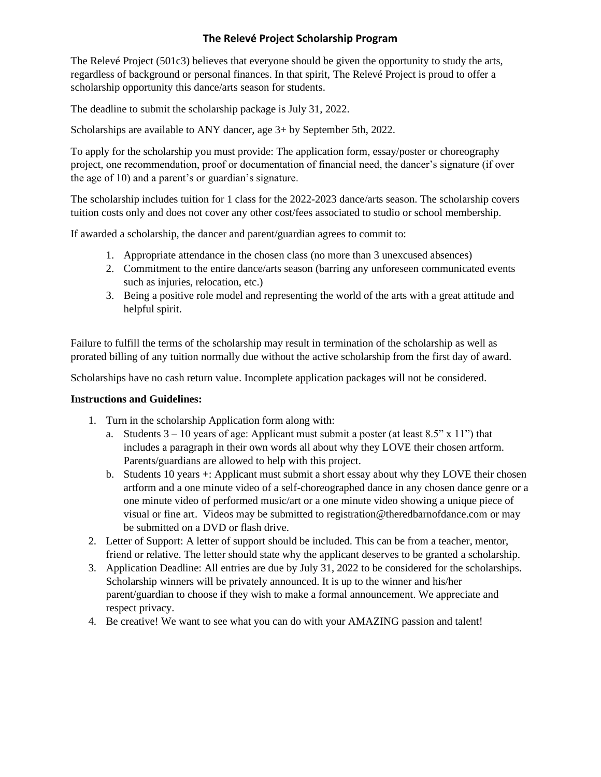## **The Relevé Project Scholarship Program**

The Relevé Project (501c3) believes that everyone should be given the opportunity to study the arts, regardless of background or personal finances. In that spirit, The Relevé Project is proud to offer a scholarship opportunity this dance/arts season for students.

The deadline to submit the scholarship package is July 31, 2022.

Scholarships are available to ANY dancer, age 3+ by September 5th, 2022.

To apply for the scholarship you must provide: The application form, essay/poster or choreography project, one recommendation, proof or documentation of financial need, the dancer's signature (if over the age of 10) and a parent's or guardian's signature.

The scholarship includes tuition for 1 class for the 2022-2023 dance/arts season. The scholarship covers tuition costs only and does not cover any other cost/fees associated to studio or school membership.

If awarded a scholarship, the dancer and parent/guardian agrees to commit to:

- 1. Appropriate attendance in the chosen class (no more than 3 unexcused absences)
- 2. Commitment to the entire dance/arts season (barring any unforeseen communicated events such as injuries, relocation, etc.)
- 3. Being a positive role model and representing the world of the arts with a great attitude and helpful spirit.

Failure to fulfill the terms of the scholarship may result in termination of the scholarship as well as prorated billing of any tuition normally due without the active scholarship from the first day of award.

Scholarships have no cash return value. Incomplete application packages will not be considered.

## **Instructions and Guidelines:**

- 1. Turn in the scholarship Application form along with:
	- a. Students  $3 10$  years of age: Applicant must submit a poster (at least 8.5" x 11") that includes a paragraph in their own words all about why they LOVE their chosen artform. Parents/guardians are allowed to help with this project.
	- b. Students 10 years +: Applicant must submit a short essay about why they LOVE their chosen artform and a one minute video of a self-choreographed dance in any chosen dance genre or a one minute video of performed music/art or a one minute video showing a unique piece of visual or fine art. Videos may be submitted to registration@theredbarnofdance.com or may be submitted on a DVD or flash drive.
- 2. Letter of Support: A letter of support should be included. This can be from a teacher, mentor, friend or relative. The letter should state why the applicant deserves to be granted a scholarship.
- 3. Application Deadline: All entries are due by July 31, 2022 to be considered for the scholarships. Scholarship winners will be privately announced. It is up to the winner and his/her parent/guardian to choose if they wish to make a formal announcement. We appreciate and respect privacy.
- 4. Be creative! We want to see what you can do with your AMAZING passion and talent!